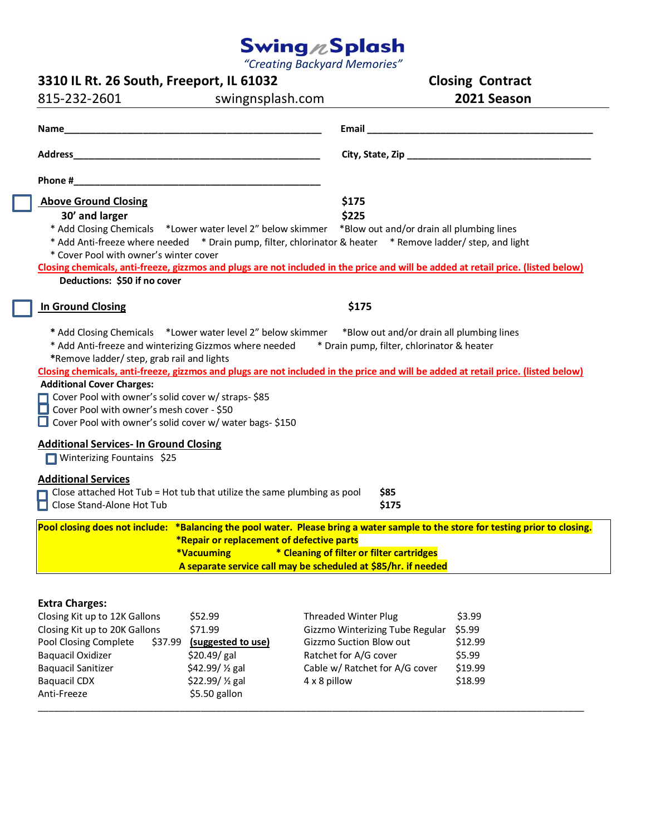## *"Creating Backyard Memories"*

| 3310 IL Rt. 26 South, Freeport, IL 61032                                                                                                    |                                                                                                       |                                                                                                                                   | <b>Closing Contract</b> |  |
|---------------------------------------------------------------------------------------------------------------------------------------------|-------------------------------------------------------------------------------------------------------|-----------------------------------------------------------------------------------------------------------------------------------|-------------------------|--|
| 815-232-2601<br>swingnsplash.com                                                                                                            |                                                                                                       |                                                                                                                                   | 2021 Season             |  |
|                                                                                                                                             |                                                                                                       |                                                                                                                                   |                         |  |
| <b>Name Name <i>Name Name Name name name name name name name name name name name name name name name name name name name name name</i> </b> |                                                                                                       |                                                                                                                                   |                         |  |
|                                                                                                                                             |                                                                                                       |                                                                                                                                   |                         |  |
|                                                                                                                                             |                                                                                                       |                                                                                                                                   |                         |  |
| <b>Above Ground Closing</b>                                                                                                                 |                                                                                                       | \$175                                                                                                                             |                         |  |
| 30' and larger                                                                                                                              |                                                                                                       | \$225                                                                                                                             |                         |  |
|                                                                                                                                             | * Add Closing Chemicals *Lower water level 2" below skimmer *Blow out and/or drain all plumbing lines |                                                                                                                                   |                         |  |
|                                                                                                                                             |                                                                                                       | * Add Anti-freeze where needed * Drain pump, filter, chlorinator & heater * Remove ladder/ step, and light                        |                         |  |
| * Cover Pool with owner's winter cover                                                                                                      |                                                                                                       |                                                                                                                                   |                         |  |
|                                                                                                                                             |                                                                                                       | Closing chemicals, anti-freeze, gizzmos and plugs are not included in the price and will be added at retail price. (listed below) |                         |  |
| Deductions: \$50 if no cover                                                                                                                |                                                                                                       |                                                                                                                                   |                         |  |
| <b>In Ground Closing</b>                                                                                                                    |                                                                                                       | \$175                                                                                                                             |                         |  |
|                                                                                                                                             |                                                                                                       |                                                                                                                                   |                         |  |
|                                                                                                                                             |                                                                                                       | * Add Closing Chemicals *Lower water level 2" below skimmer *Blow out and/or drain all plumbing lines                             |                         |  |
|                                                                                                                                             |                                                                                                       | * Add Anti-freeze and winterizing Gizzmos where needed * Drain pump, filter, chlorinator & heater                                 |                         |  |
| *Remove ladder/ step, grab rail and lights                                                                                                  |                                                                                                       |                                                                                                                                   |                         |  |
| <b>Additional Cover Charges:</b>                                                                                                            |                                                                                                       | Closing chemicals, anti-freeze, gizzmos and plugs are not included in the price and will be added at retail price. (listed below) |                         |  |
| Cover Pool with owner's solid cover w/ straps- \$85                                                                                         |                                                                                                       |                                                                                                                                   |                         |  |
| Cover Pool with owner's mesh cover - \$50                                                                                                   |                                                                                                       |                                                                                                                                   |                         |  |
| Cover Pool with owner's solid cover w/ water bags- \$150                                                                                    |                                                                                                       |                                                                                                                                   |                         |  |
|                                                                                                                                             |                                                                                                       |                                                                                                                                   |                         |  |
| <b>Additional Services- In Ground Closing</b>                                                                                               |                                                                                                       |                                                                                                                                   |                         |  |
| Winterizing Fountains \$25                                                                                                                  |                                                                                                       |                                                                                                                                   |                         |  |
| <b>Additional Services</b>                                                                                                                  |                                                                                                       |                                                                                                                                   |                         |  |
| Close attached Hot Tub = Hot tub that utilize the same plumbing as pool                                                                     |                                                                                                       | \$85                                                                                                                              |                         |  |
| □ Close Stand-Alone Hot Tub                                                                                                                 |                                                                                                       | \$175                                                                                                                             |                         |  |
|                                                                                                                                             |                                                                                                       | Pool closing does not include: *Balancing the pool water. Please bring a water sample to the store for testing prior to closing.  |                         |  |
|                                                                                                                                             | *Repair or replacement of defective parts                                                             |                                                                                                                                   |                         |  |
|                                                                                                                                             | *Vacuuming                                                                                            | * Cleaning of filter or filter cartridges                                                                                         |                         |  |
|                                                                                                                                             |                                                                                                       | A separate service call may be scheduled at \$85/hr. if needed                                                                    |                         |  |
|                                                                                                                                             |                                                                                                       |                                                                                                                                   |                         |  |
| <b>Extra Charges:</b>                                                                                                                       |                                                                                                       |                                                                                                                                   |                         |  |
| Closing Kit up to 12K Gallons                                                                                                               | \$52.99                                                                                               | <b>Threaded Winter Plug</b>                                                                                                       | \$3.99                  |  |
| Closing Kit up to 20K Gallons                                                                                                               | \$71.99                                                                                               | Gizzmo Winterizing Tube Regular                                                                                                   | \$5.99                  |  |
| Pool Closing Complete<br>\$37.99                                                                                                            | (suggested to use)                                                                                    | Gizzmo Suction Blow out                                                                                                           | \$12.99                 |  |
| <b>Baquacil Oxidizer</b>                                                                                                                    | \$20.49/gal                                                                                           | Ratchet for A/G cover                                                                                                             | \$5.99                  |  |
| <b>Baquacil Sanitizer</b>                                                                                                                   | \$42.99/ 1/2 gal                                                                                      | Cable w/ Ratchet for A/G cover                                                                                                    | \$19.99                 |  |
| <b>Baquacil CDX</b>                                                                                                                         | \$22.99/ 1/2 gal                                                                                      | 4 x 8 pillow                                                                                                                      | \$18.99                 |  |

\_\_\_\_\_\_\_\_\_\_\_\_\_\_\_\_\_\_\_\_\_\_\_\_\_\_\_\_\_\_\_\_\_\_\_\_\_\_\_\_\_\_\_\_\_\_\_\_\_\_\_\_\_\_\_\_\_\_\_\_\_\_\_\_\_\_\_\_\_\_\_\_\_\_\_\_\_\_\_\_\_\_\_\_\_\_\_\_\_\_\_\_\_\_\_\_\_\_\_\_\_\_\_\_

 $$22.99/$  % gal

Anti-Freeze \$5.50 gallon